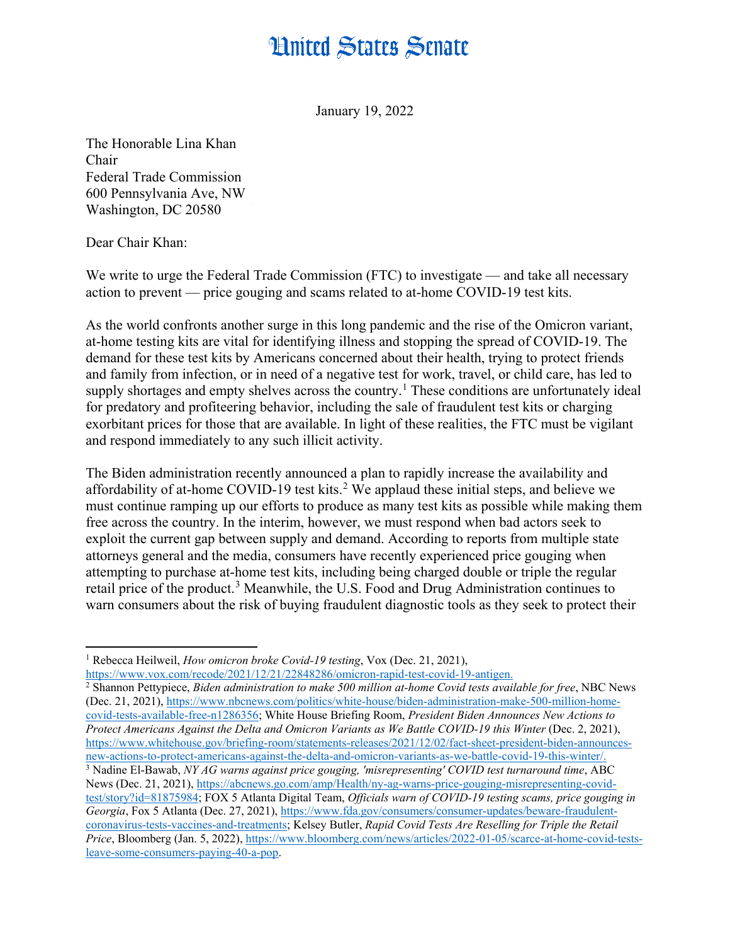## **Hnited States Senate**

January 19, 2022

The Honorable Lina Khan Chair Federal Trade Commission 600 Pennsylvania Ave, NW Washington, DC 20580

Dear Chair Khan:

We write to urge the Federal Trade Commission (FTC) to investigate — and take all necessary action to prevent — price gouging and scams related to at-home COVID-19 test kits.

As the world confronts another surge in this long pandemic and the rise of the Omicron variant, at-home testing kits are vital for identifying illness and stopping the spread of COVID-19. The demand for these test kits by Americans concerned about their health, trying to protect friends and family from infection, or in need of a negative test for work, travel, or child care, has led to supply shortages and empty shelves across the country.<sup>[1](#page-0-0)</sup> These conditions are unfortunately ideal for predatory and profiteering behavior, including the sale of fraudulent test kits or charging exorbitant prices for those that are available. In light of these realities, the FTC must be vigilant and respond immediately to any such illicit activity.

The Biden administration recently announced a plan to rapidly increase the availability and affordability of at-home COVID-19 test kits.<sup>[2](#page-0-1)</sup> We applaud these initial steps, and believe we must continue ramping up our efforts to produce as many test kits as possible while making them free across the country. In the interim, however, we must respond when bad actors seek to exploit the current gap between supply and demand. According to reports from multiple state attorneys general and the media, consumers have recently experienced price gouging when attempting to purchase at-home test kits, including being charged double or triple the regular retail price of the product.<sup>[3](#page-0-2)</sup> Meanwhile, the U.S. Food and Drug Administration continues to warn consumers about the risk of buying fraudulent diagnostic tools as they seek to protect their

<span id="page-0-2"></span><span id="page-0-1"></span><sup>2</sup> Shannon Pettypiece, *Biden administration to make 500 million at-home Covid tests available for free*, NBC News (Dec. 21, 2021), [https://www.nbcnews.com/politics/white-house/biden-administration-make-500-million-home](https://www.nbcnews.com/politics/white-house/biden-administration-make-500-million-home-covid-tests-available-free-n1286356)[covid-tests-available-free-n1286356;](https://www.nbcnews.com/politics/white-house/biden-administration-make-500-million-home-covid-tests-available-free-n1286356) White House Briefing Room, *President Biden Announces New Actions to Protect Americans Against the Delta and Omicron Variants as We Battle COVID-19 this Winter* (Dec. 2, 2021), [https://www.whitehouse.gov/briefing-room/statements-releases/2021/12/02/fact-sheet-president-biden-announces](https://www.whitehouse.gov/briefing-room/statements-releases/2021/12/02/fact-sheet-president-biden-announces-new-actions-to-protect-americans-against-the-delta-and-omicron-variants-as-we-battle-covid-19-this-winter/)[new-actions-to-protect-americans-against-the-delta-and-omicron-variants-as-we-battle-covid-19-this-winter/.](https://www.whitehouse.gov/briefing-room/statements-releases/2021/12/02/fact-sheet-president-biden-announces-new-actions-to-protect-americans-against-the-delta-and-omicron-variants-as-we-battle-covid-19-this-winter/) <sup>3</sup> Nadine El-Bawab, *NY AG warns against price gouging, 'misrepresenting' COVID test turnaround time*, ABC News (Dec. 21, 2021), [https://abcnews.go.com/amp/Health/ny-ag-warns-price-gouging-misrepresenting-covid](https://abcnews.go.com/amp/Health/ny-ag-warns-price-gouging-misrepresenting-covid-test/story?id=81875984)[test/story?id=81875984;](https://abcnews.go.com/amp/Health/ny-ag-warns-price-gouging-misrepresenting-covid-test/story?id=81875984) FOX 5 Atlanta Digital Team, *Officials warn of COVID-19 testing scams, price gouging in Georgia*, Fox 5 Atlanta (Dec. 27, 2021)[, https://www.fda.gov/consumers/consumer-updates/beware-fraudulent](https://www.fda.gov/consumers/consumer-updates/beware-fraudulent-coronavirus-tests-vaccines-and-treatments)[coronavirus-tests-vaccines-and-treatments;](https://www.fda.gov/consumers/consumer-updates/beware-fraudulent-coronavirus-tests-vaccines-and-treatments) Kelsey Butler, *Rapid Covid Tests Are Reselling for Triple the Retail Price*, Bloomberg (Jan. 5, 2022), [https://www.bloomberg.com/news/articles/2022-01-05/scarce-at-home-covid-tests](https://www.bloomberg.com/news/articles/2022-01-05/scarce-at-home-covid-tests-leave-some-consumers-paying-40-a-pop)[leave-some-consumers-paying-40-a-pop.](https://www.bloomberg.com/news/articles/2022-01-05/scarce-at-home-covid-tests-leave-some-consumers-paying-40-a-pop)

<span id="page-0-0"></span> $\overline{a}$ <sup>1</sup> Rebecca Heilweil, *How omicron broke Covid-19 testing*, Vox (Dec. 21, 2021), [https://www.vox.com/recode/2021/12/21/22848286/omicron-rapid-test-covid-19-antigen.](https://www.vox.com/recode/2021/12/21/22848286/omicron-rapid-test-covid-19-antigen)